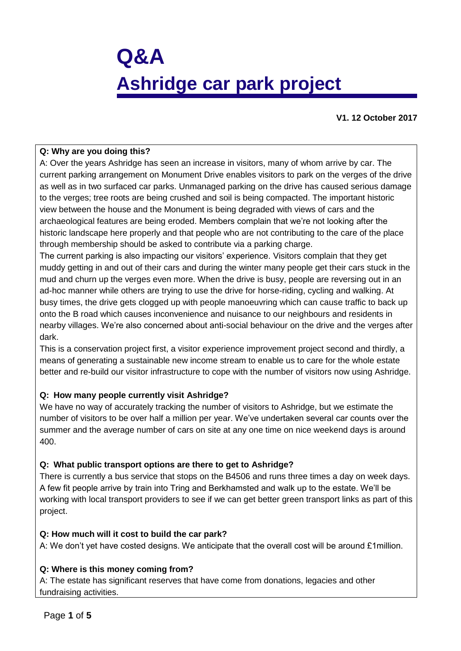# **Q&A Ashridge car park project**

**V1. 12 October 2017**

#### **Q: Why are you doing this?**

A: Over the years Ashridge has seen an increase in visitors, many of whom arrive by car. The current parking arrangement on Monument Drive enables visitors to park on the verges of the drive as well as in two surfaced car parks. Unmanaged parking on the drive has caused serious damage to the verges; tree roots are being crushed and soil is being compacted. The important historic view between the house and the Monument is being degraded with views of cars and the archaeological features are being eroded. Members complain that we're not looking after the historic landscape here properly and that people who are not contributing to the care of the place through membership should be asked to contribute via a parking charge.

The current parking is also impacting our visitors' experience. Visitors complain that they get muddy getting in and out of their cars and during the winter many people get their cars stuck in the mud and churn up the verges even more. When the drive is busy, people are reversing out in an ad-hoc manner while others are trying to use the drive for horse-riding, cycling and walking. At busy times, the drive gets clogged up with people manoeuvring which can cause traffic to back up onto the B road which causes inconvenience and nuisance to our neighbours and residents in nearby villages. We're also concerned about anti-social behaviour on the drive and the verges after dark.

This is a conservation project first, a visitor experience improvement project second and thirdly, a means of generating a sustainable new income stream to enable us to care for the whole estate better and re-build our visitor infrastructure to cope with the number of visitors now using Ashridge.

### **Q: How many people currently visit Ashridge?**

We have no way of accurately tracking the number of visitors to Ashridge, but we estimate the number of visitors to be over half a million per year. We've undertaken several car counts over the summer and the average number of cars on site at any one time on nice weekend days is around 400.

### **Q: What public transport options are there to get to Ashridge?**

There is currently a bus service that stops on the B4506 and runs three times a day on week days. A few fit people arrive by train into Tring and Berkhamsted and walk up to the estate. We'll be working with local transport providers to see if we can get better green transport links as part of this project.

### **Q: How much will it cost to build the car park?**

A: We don't yet have costed designs. We anticipate that the overall cost will be around £1million.

### **Q: Where is this money coming from?**

A: The estate has significant reserves that have come from donations, legacies and other fundraising activities.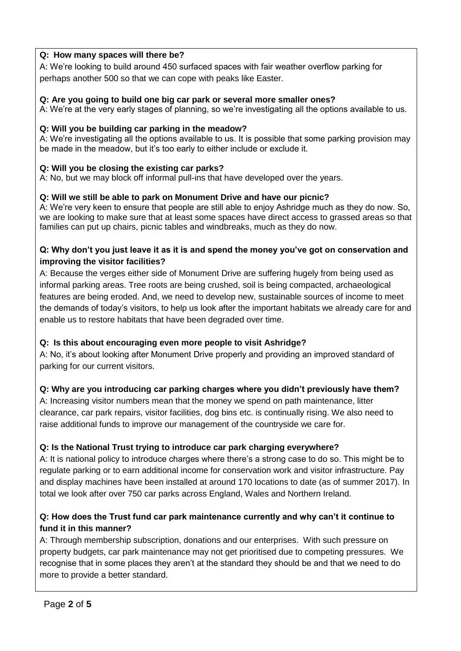## **Q: How many spaces will there be?**

A: We're looking to build around 450 surfaced spaces with fair weather overflow parking for perhaps another 500 so that we can cope with peaks like Easter.

#### **Q: Are you going to build one big car park or several more smaller ones?**

A: We're at the very early stages of planning, so we're investigating all the options available to us.

#### **Q: Will you be building car parking in the meadow?**

A: We're investigating all the options available to us. It is possible that some parking provision may be made in the meadow, but it's too early to either include or exclude it.

### **Q: Will you be closing the existing car parks?**

A: No, but we may block off informal pull-ins that have developed over the years.

#### **Q: Will we still be able to park on Monument Drive and have our picnic?**

A: We're very keen to ensure that people are still able to enjoy Ashridge much as they do now. So, we are looking to make sure that at least some spaces have direct access to grassed areas so that families can put up chairs, picnic tables and windbreaks, much as they do now.

### **Q: Why don't you just leave it as it is and spend the money you've got on conservation and improving the visitor facilities?**

A: Because the verges either side of Monument Drive are suffering hugely from being used as informal parking areas. Tree roots are being crushed, soil is being compacted, archaeological features are being eroded. And, we need to develop new, sustainable sources of income to meet the demands of today's visitors, to help us look after the important habitats we already care for and enable us to restore habitats that have been degraded over time.

### **Q: Is this about encouraging even more people to visit Ashridge?**

A: No, it's about looking after Monument Drive properly and providing an improved standard of parking for our current visitors.

### **Q: Why are you introducing car parking charges where you didn't previously have them?**

A: Increasing visitor numbers mean that the money we spend on path maintenance, litter clearance, car park repairs, visitor facilities, dog bins etc. is continually rising. We also need to raise additional funds to improve our management of the countryside we care for.

### **Q: Is the National Trust trying to introduce car park charging everywhere?**

A: It is national policy to introduce charges where there's a strong case to do so. This might be to regulate parking or to earn additional income for conservation work and visitor infrastructure. Pay and display machines have been installed at around 170 locations to date (as of summer 2017). In total we look after over 750 car parks across England, Wales and Northern Ireland.

## **Q: How does the Trust fund car park maintenance currently and why can't it continue to fund it in this manner?**

A: Through membership subscription, donations and our enterprises. With such pressure on property budgets, car park maintenance may not get prioritised due to competing pressures. We recognise that in some places they aren't at the standard they should be and that we need to do more to provide a better standard.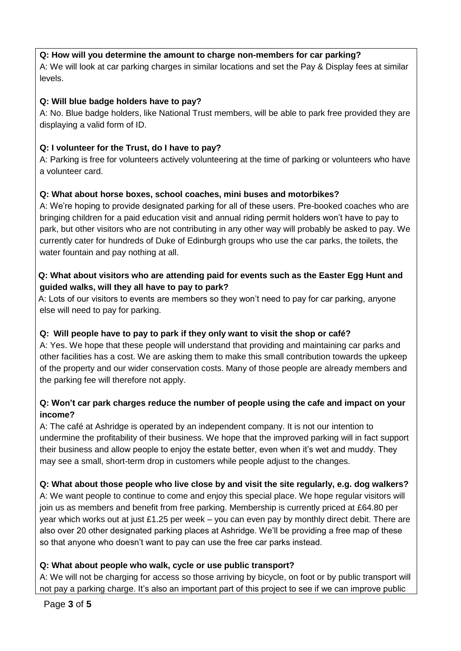#### **Q: How will you determine the amount to charge non-members for car parking?**

A: We will look at car parking charges in similar locations and set the Pay & Display fees at similar levels.

### **Q: Will blue badge holders have to pay?**

A: No. Blue badge holders, like National Trust members, will be able to park free provided they are displaying a valid form of ID.

### **Q: I volunteer for the Trust, do I have to pay?**

A: Parking is free for volunteers actively volunteering at the time of parking or volunteers who have a volunteer card.

### **Q: What about horse boxes, school coaches, mini buses and motorbikes?**

A: We're hoping to provide designated parking for all of these users. Pre-booked coaches who are bringing children for a paid education visit and annual riding permit holders won't have to pay to park, but other visitors who are not contributing in any other way will probably be asked to pay. We currently cater for hundreds of Duke of Edinburgh groups who use the car parks, the toilets, the water fountain and pay nothing at all.

## **Q: What about visitors who are attending paid for events such as the Easter Egg Hunt and guided walks, will they all have to pay to park?**

A: Lots of our visitors to events are members so they won't need to pay for car parking, anyone else will need to pay for parking.

## **Q: Will people have to pay to park if they only want to visit the shop or café?**

A: Yes. We hope that these people will understand that providing and maintaining car parks and other facilities has a cost. We are asking them to make this small contribution towards the upkeep of the property and our wider conservation costs. Many of those people are already members and the parking fee will therefore not apply.

## **Q: Won't car park charges reduce the number of people using the cafe and impact on your income?**

A: The café at Ashridge is operated by an independent company. It is not our intention to undermine the profitability of their business. We hope that the improved parking will in fact support their business and allow people to enjoy the estate better, even when it's wet and muddy. They may see a small, short-term drop in customers while people adjust to the changes.

### **Q: What about those people who live close by and visit the site regularly, e.g. dog walkers?**

A: We want people to continue to come and enjoy this special place. We hope regular visitors will join us as members and benefit from free parking. Membership is currently priced at £64.80 per year which works out at just £1.25 per week – you can even pay by monthly direct debit. There are also over 20 other designated parking places at Ashridge. We'll be providing a free map of these so that anyone who doesn't want to pay can use the free car parks instead.

### **Q: What about people who walk, cycle or use public transport?**

A: We will not be charging for access so those arriving by bicycle, on foot or by public transport will not pay a parking charge. It's also an important part of this project to see if we can improve public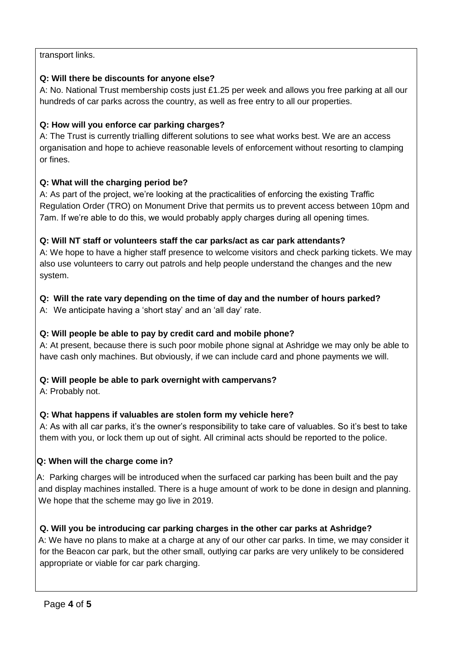## transport links.

## **Q: Will there be discounts for anyone else?**

A: No. National Trust membership costs just £1.25 per week and allows you free parking at all our hundreds of car parks across the country, as well as free entry to all our properties.

## **Q: How will you enforce car parking charges?**

A: The Trust is currently trialling different solutions to see what works best. We are an access organisation and hope to achieve reasonable levels of enforcement without resorting to clamping or fines.

# **Q: What will the charging period be?**

A: As part of the project, we're looking at the practicalities of enforcing the existing Traffic Regulation Order (TRO) on Monument Drive that permits us to prevent access between 10pm and 7am. If we're able to do this, we would probably apply charges during all opening times.

# **Q: Will NT staff or volunteers staff the car parks/act as car park attendants?**

A: We hope to have a higher staff presence to welcome visitors and check parking tickets. We may also use volunteers to carry out patrols and help people understand the changes and the new system.

# **Q: Will the rate vary depending on the time of day and the number of hours parked?**

A: We anticipate having a 'short stay' and an 'all day' rate.

## **Q: Will people be able to pay by credit card and mobile phone?**

A: At present, because there is such poor mobile phone signal at Ashridge we may only be able to have cash only machines. But obviously, if we can include card and phone payments we will.

## **Q: Will people be able to park overnight with campervans?**

A: Probably not.

# **Q: What happens if valuables are stolen form my vehicle here?**

A: As with all car parks, it's the owner's responsibility to take care of valuables. So it's best to take them with you, or lock them up out of sight. All criminal acts should be reported to the police.

## **Q: When will the charge come in?**

A: Parking charges will be introduced when the surfaced car parking has been built and the pay and display machines installed. There is a huge amount of work to be done in design and planning. We hope that the scheme may go live in 2019.

# **Q. Will you be introducing car parking charges in the other car parks at Ashridge?**

A: We have no plans to make at a charge at any of our other car parks. In time, we may consider it for the Beacon car park, but the other small, outlying car parks are very unlikely to be considered appropriate or viable for car park charging.